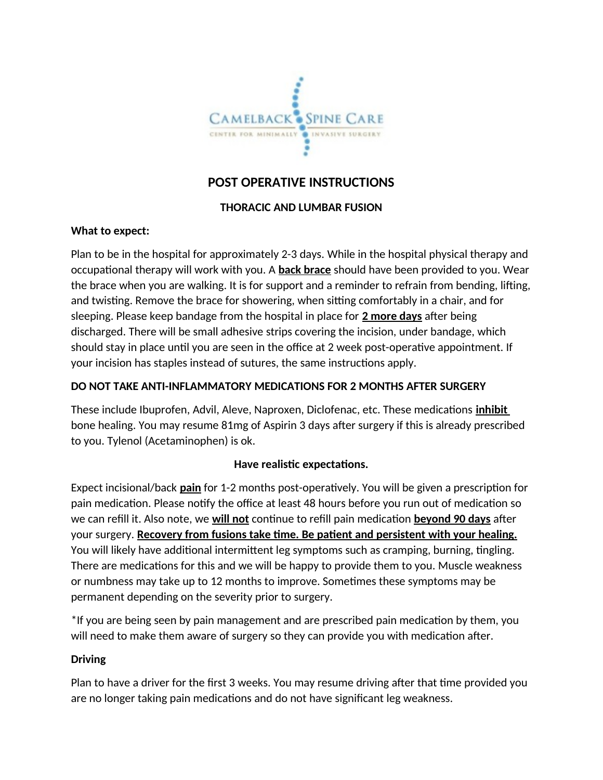

# **POST OPERATIVE INSTRUCTIONS**

## **THORACIC AND LUMBAR FUSION**

#### **What to expect:**

Plan to be in the hospital for approximately 2-3 days. While in the hospital physical therapy and occupational therapy will work with you. A **back brace** should have been provided to you. Wear the brace when you are walking. It is for support and a reminder to refrain from bending, lifting, and twisting. Remove the brace for showering, when sitting comfortably in a chair, and for sleeping. Please keep bandage from the hospital in place for **2 more days** after being discharged. There will be small adhesive strips covering the incision, under bandage, which should stay in place until you are seen in the office at 2 week post-operative appointment. If your incision has staples instead of sutures, the same instructions apply.

#### **DO NOT TAKE ANTI-INFLAMMATORY MEDICATIONS FOR 2 MONTHS AFTER SURGERY**

These include Ibuprofen, Advil, Aleve, Naproxen, Diclofenac, etc. These medications **inhibit** bone healing. You may resume 81mg of Aspirin 3 days after surgery if this is already prescribed to you. Tylenol (Acetaminophen) is ok.

#### **Have realistic expectations.**

Expect incisional/back **pain** for 1-2 months post-operatively. You will be given a prescription for pain medication. Please notify the office at least 48 hours before you run out of medication so we can refill it. Also note, we **will not** continue to refill pain medication **beyond 90 days** after your surgery. **Recovery from fusions take time. Be patient and persistent with your healing.** You will likely have additional intermittent leg symptoms such as cramping, burning, tingling. There are medications for this and we will be happy to provide them to you. Muscle weakness or numbness may take up to 12 months to improve. Sometimes these symptoms may be permanent depending on the severity prior to surgery.

\*If you are being seen by pain management and are prescribed pain medication by them, you will need to make them aware of surgery so they can provide you with medication after.

#### **Driving**

Plan to have a driver for the first 3 weeks. You may resume driving after that time provided you are no longer taking pain medications and do not have significant leg weakness.